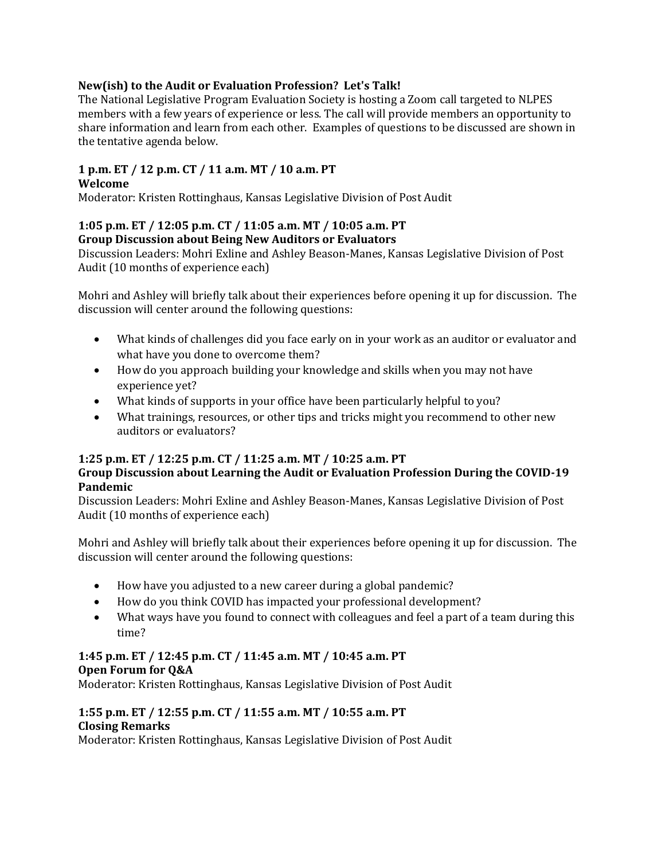# **New(ish) to the Audit or Evaluation Profession? Let's Talk!**

The National Legislative Program Evaluation Society is hosting a Zoom call targeted to NLPES members with a few years of experience or less. The call will provide members an opportunity to share information and learn from each other. Examples of questions to be discussed are shown in the tentative agenda below.

#### **1 p.m. ET / 12 p.m. CT / 11 a.m. MT / 10 a.m. PT Welcome**

Moderator: Kristen Rottinghaus, Kansas Legislative Division of Post Audit

## **1:05 p.m. ET / 12:05 p.m. CT / 11:05 a.m. MT / 10:05 a.m. PT Group Discussion about Being New Auditors or Evaluators**

Discussion Leaders: Mohri Exline and Ashley Beason-Manes, Kansas Legislative Division of Post Audit (10 months of experience each)

Mohri and Ashley will briefly talk about their experiences before opening it up for discussion. The discussion will center around the following questions:

- What kinds of challenges did you face early on in your work as an auditor or evaluator and what have you done to overcome them?
- How do you approach building your knowledge and skills when you may not have experience yet?
- What kinds of supports in your office have been particularly helpful to you?
- What trainings, resources, or other tips and tricks might you recommend to other new auditors or evaluators?

## **1:25 p.m. ET / 12:25 p.m. CT / 11:25 a.m. MT / 10:25 a.m. PT**

# **Group Discussion about Learning the Audit or Evaluation Profession During the COVID-19 Pandemic**

Discussion Leaders: Mohri Exline and Ashley Beason-Manes, Kansas Legislative Division of Post Audit (10 months of experience each)

Mohri and Ashley will briefly talk about their experiences before opening it up for discussion. The discussion will center around the following questions:

- How have you adjusted to a new career during a global pandemic?
- How do you think COVID has impacted your professional development?
- What ways have you found to connect with colleagues and feel a part of a team during this time?

# **1:45 p.m. ET / 12:45 p.m. CT / 11:45 a.m. MT / 10:45 a.m. PT Open Forum for Q&A**

Moderator: Kristen Rottinghaus, Kansas Legislative Division of Post Audit

## **1:55 p.m. ET / 12:55 p.m. CT / 11:55 a.m. MT / 10:55 a.m. PT Closing Remarks**

Moderator: Kristen Rottinghaus, Kansas Legislative Division of Post Audit